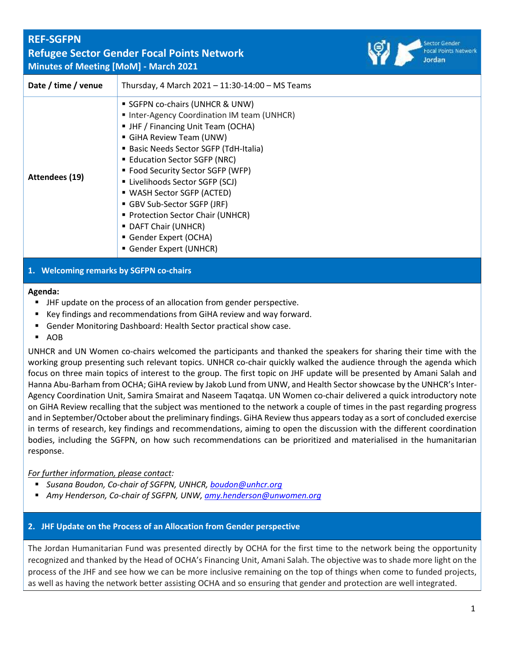| <b>REF-SGFPN</b>    | <b>Refugee Sector Gender Focal Points Network</b><br><b>Minutes of Meeting [MoM] - March 2021</b>                                                                                                                                                                                                                                                                                               | Focal Poin<br>Jordan |
|---------------------|-------------------------------------------------------------------------------------------------------------------------------------------------------------------------------------------------------------------------------------------------------------------------------------------------------------------------------------------------------------------------------------------------|----------------------|
| Date / time / venue | Thursday, 4 March $2021 - 11:30 - 14:00 - MS$ Teams                                                                                                                                                                                                                                                                                                                                             |                      |
| Attendees (19)      | SGFPN co-chairs (UNHCR & UNW)<br>■ Inter-Agency Coordination IM team (UNHCR)<br>• JHF / Financing Unit Team (OCHA)<br>GiHA Review Team (UNW)<br>• Basic Needs Sector SGFP (TdH-Italia)<br>■ Education Sector SGFP (NRC)<br>" Food Security Sector SGFP (WFP)<br>■ Livelihoods Sector SGFP (SCJ)<br>■ WASH Sector SGFP (ACTED)<br>GBV Sub-Sector SGFP (JRF)<br>■ Protection Sector Chair (UNHCR) |                      |
|                     | • DAFT Chair (UNHCR)                                                                                                                                                                                                                                                                                                                                                                            |                      |

- Gender Expert (OCHA)
	- Gender Expert (UNHCR)

# **1. Welcoming remarks by SGFPN co-chairs**

#### **Agenda:**

- JHF update on the process of an allocation from gender perspective.
- Key findings and recommendations from GiHA review and way forward.
- Gender Monitoring Dashboard: Health Sector practical show case.
- AOB

UNHCR and UN Women co-chairs welcomed the participants and thanked the speakers for sharing their time with the working group presenting such relevant topics. UNHCR co-chair quickly walked the audience through the agenda which focus on three main topics of interest to the group. The first topic on JHF update will be presented by Amani Salah and Hanna Abu-Barham from OCHA; GiHA review by Jakob Lund from UNW, and Health Sector showcase by the UNHCR's Inter-Agency Coordination Unit, Samira Smairat and Naseem Taqatqa. UN Women co-chair delivered a quick introductory note on GiHA Review recalling that the subject was mentioned to the network a couple of times in the past regarding progress and in September/October about the preliminary findings. GiHA Review thus appears today as a sort of concluded exercise in terms of research, key findings and recommendations, aiming to open the discussion with the different coordination bodies, including the SGFPN, on how such recommendations can be prioritized and materialised in the humanitarian response.

## *For further information, please contact:*

- *Susana Boudon, Co-chair of SGFPN, UNHCR, [boudon@unhcr.org](mailto:boudon@unhcr.org)*
- *Amy Henderson, Co-chair of SGFPN, UNW, [amy.henderson@unwomen.org](mailto:amy.henderson@unwomen.org)*

#### **2. JHF Update on the Process of an Allocation from Gender perspective**

The Jordan Humanitarian Fund was presented directly by OCHA for the first time to the network being the opportunity recognized and thanked by the Head of OCHA's Financing Unit, Amani Salah. The objective was to shade more light on the process of the JHF and see how we can be more inclusive remaining on the top of things when come to funded projects, as well as having the network better assisting OCHA and so ensuring that gender and protection are well integrated.

Network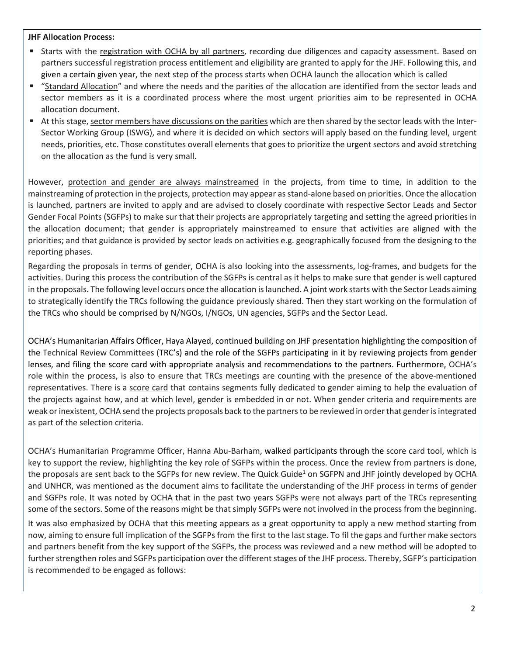#### **JHF Allocation Process:**

- Starts with the registration with OCHA by all partners, recording due diligences and capacity assessment. Based on partners successful registration process entitlement and eligibility are granted to apply for the JHF. Following this, and given a certain given year, the next step of the process starts when OCHA launch the allocation which is called
- "Standard Allocation" and where the needs and the parities of the allocation are identified from the sector leads and sector members as it is a coordinated process where the most urgent priorities aim to be represented in OCHA allocation document.
- At this stage, sector members have discussions on the parities which are then shared by the sector leads with the Inter-Sector Working Group (ISWG), and where it is decided on which sectors will apply based on the funding level, urgent needs, priorities, etc. Those constitutes overall elements that goes to prioritize the urgent sectors and avoid stretching on the allocation as the fund is very small.

However, protection and gender are always mainstreamed in the projects, from time to time, in addition to the mainstreaming of protection in the projects, protection may appear asstand-alone based on priorities. Once the allocation is launched, partners are invited to apply and are advised to closely coordinate with respective Sector Leads and Sector Gender Focal Points (SGFPs) to make sur that their projects are appropriately targeting and setting the agreed priorities in the allocation document; that gender is appropriately mainstreamed to ensure that activities are aligned with the priorities; and that guidance is provided by sector leads on activities e.g. geographically focused from the designing to the reporting phases.

Regarding the proposals in terms of gender, OCHA is also looking into the assessments, log-frames, and budgets for the activities. During this process the contribution of the SGFPs is central as it helps to make sure that gender is well captured in the proposals. The following level occurs once the allocation islaunched. A joint work starts with the Sector Leads aiming to strategically identify the TRCs following the guidance previously shared. Then they start working on the formulation of the TRCs who should be comprised by N/NGOs, I/NGOs, UN agencies, SGFPs and the Sector Lead.

OCHA's Humanitarian Affairs Officer, Haya Alayed, continued building on JHF presentation highlighting the composition of the Technical Review Committees (TRC's) and the role of the SGFPs participating in it by reviewing projects from gender lenses, and filing the score card with appropriate analysis and recommendations to the partners. Furthermore, OCHA's role within the process, is also to ensure that TRCs meetings are counting with the presence of the above-mentioned representatives. There is a score card that contains segments fully dedicated to gender aiming to help the evaluation of the projects against how, and at which level, gender is embedded in or not. When gender criteria and requirements are weak or inexistent, OCHA send the projects proposals back to the partners to be reviewed in order that gender is integrated as part of the selection criteria.

OCHA's Humanitarian Programme Officer, Hanna Abu-Barham, walked participants through the score card tool, which is key to support the review, highlighting the key role of SGFPs within the process. Once the review from partners is done, the proposals are sent back to the SGFPs for new review. The Quick Guide<sup>1</sup> on SGFPN and JHF jointly developed by OCHA and UNHCR, was mentioned as the document aims to facilitate the understanding of the JHF process in terms of gender and SGFPs role. It was noted by OCHA that in the past two years SGFPs were not always part of the TRCs representing some of the sectors. Some of the reasons might be that simply SGFPs were not involved in the process from the beginning.

It was also emphasized by OCHA that this meeting appears as a great opportunity to apply a new method starting from now, aiming to ensure full implication of the SGFPs from the first to the last stage. To fil the gaps and further make sectors and partners benefit from the key support of the SGFPs, the process was reviewed and a new method will be adopted to further strengthen roles and SGFPs participation over the different stages of the JHF process. Thereby, SGFP's participation is recommended to be engaged as follows: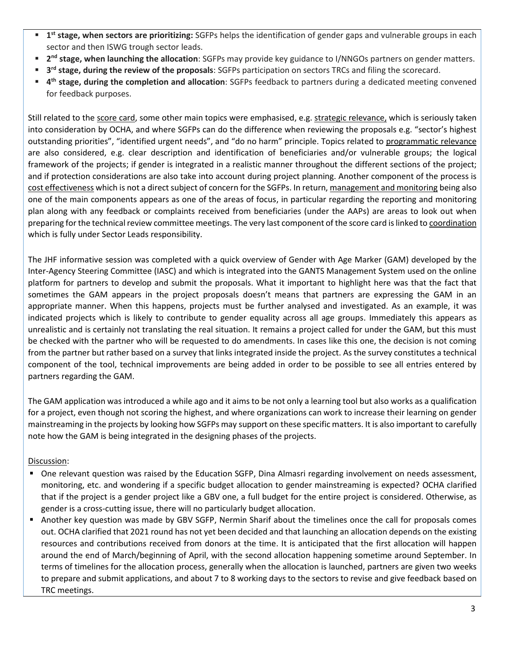- **1 st stage, when sectors are prioritizing:** SGFPs helps the identification of gender gaps and vulnerable groups in each sector and then ISWG trough sector leads.
- **2 nd stage, when launching the allocation**: SGFPs may provide key guidance to I/NNGOs partners on gender matters.
- **3 rd stage, during the review of the proposals**: SGFPs participation on sectors TRCs and filing the scorecard.
- **4 th stage, during the completion and allocation**: SGFPs feedback to partners during a dedicated meeting convened for feedback purposes.

Still related to the score card, some other main topics were emphasised, e.g. strategic relevance, which is seriously taken into consideration by OCHA, and where SGFPs can do the difference when reviewing the proposals e.g. "sector's highest outstanding priorities", "identified urgent needs", and "do no harm" principle. Topics related to programmatic relevance are also considered, e.g. clear description and identification of beneficiaries and/or vulnerable groups; the logical framework of the projects; if gender is integrated in a realistic manner throughout the different sections of the project; and if protection considerations are also take into account during project planning. Another component of the process is cost effectiveness which is not a direct subject of concern for the SGFPs. In return, management and monitoring being also one of the main components appears as one of the areas of focus, in particular regarding the reporting and monitoring plan along with any feedback or complaints received from beneficiaries (under the AAPs) are areas to look out when preparing for the technical review committee meetings. The very last component of the score card is linked to coordination which is fully under Sector Leads responsibility.

The JHF informative session was completed with a quick overview of Gender with Age Marker (GAM) developed by the Inter-Agency Steering Committee (IASC) and which is integrated into the GANTS Management System used on the online platform for partners to develop and submit the proposals. What it important to highlight here was that the fact that sometimes the GAM appears in the project proposals doesn't means that partners are expressing the GAM in an appropriate manner. When this happens, projects must be further analysed and investigated. As an example, it was indicated projects which is likely to contribute to gender equality across all age groups. Immediately this appears as unrealistic and is certainly not translating the real situation. It remains a project called for under the GAM, but this must be checked with the partner who will be requested to do amendments. In cases like this one, the decision is not coming from the partner but rather based on a survey that links integrated inside the project. As the survey constitutes a technical component of the tool, technical improvements are being added in order to be possible to see all entries entered by partners regarding the GAM.

The GAM application was introduced a while ago and it aims to be not only a learning tool but also works as a qualification for a project, even though not scoring the highest, and where organizations can work to increase their learning on gender mainstreaming in the projects by looking how SGFPs may support on these specific matters. It is also important to carefully note how the GAM is being integrated in the designing phases of the projects.

## Discussion:

- One relevant question was raised by the Education SGFP, Dina Almasri regarding involvement on needs assessment, monitoring, etc. and wondering if a specific budget allocation to gender mainstreaming is expected? OCHA clarified that if the project is a gender project like a GBV one, a full budget for the entire project is considered. Otherwise, as gender is a cross-cutting issue, there will no particularly budget allocation.
- Another key question was made by GBV SGFP, Nermin Sharif about the timelines once the call for proposals comes out. OCHA clarified that 2021 round has not yet been decided and that launching an allocation depends on the existing resources and contributions received from donors at the time. It is anticipated that the first allocation will happen around the end of March/beginning of April, with the second allocation happening sometime around September. In terms of timelines for the allocation process, generally when the allocation is launched, partners are given two weeks to prepare and submit applications, and about 7 to 8 working days to the sectors to revise and give feedback based on TRC meetings.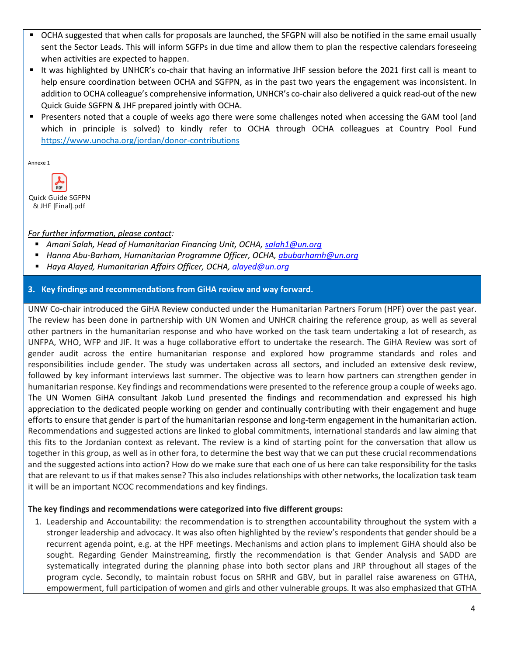- OCHA suggested that when calls for proposals are launched, the SFGPN will also be notified in the same email usually sent the Sector Leads. This will inform SGFPs in due time and allow them to plan the respective calendars foreseeing when activities are expected to happen.
- It was highlighted by UNHCR's co-chair that having an informative JHF session before the 2021 first call is meant to help ensure coordination between OCHA and SGFPN, as in the past two years the engagement was inconsistent. In addition to OCHA colleague's comprehensive information, UNHCR's co-chair also delivered a quick read-out of the new Quick Guide SGFPN & JHF prepared jointly with OCHA.
- Presenters noted that a couple of weeks ago there were some challenges noted when accessing the GAM tool (and which in principle is solved) to kindly refer to OCHA through OCHA colleagues at Country Pool Fund https://www.unocha.org/jordan/donor-contributions

Annexe 1

Quick Guide SGFPN & JHF [Final].pdf

# *For further information, please contact:*

- *Amani Salah, Head of Humanitarian Financing Unit, OCHA, [salah1@un.org](mailto:salah1@un.org)*
- *Hanna Abu-Barham, Humanitarian Programme Officer, OCHA, [abubarhamh@un.org](mailto:abubarhamh@un.org)*
- *Haya Alayed, Humanitarian Affairs Officer, OCHA[, alayed@un.org](mailto:alayed@un.org)*

# **3. Key findings and recommendations from GiHA review and way forward.**

UNW Co-chair introduced the GiHA Review conducted under the Humanitarian Partners Forum (HPF) over the past year. The review has been done in partnership with UN Women and UNHCR chairing the reference group, as well as several other partners in the humanitarian response and who have worked on the task team undertaking a lot of research, as UNFPA, WHO, WFP and JIF. It was a huge collaborative effort to undertake the research. The GiHA Review was sort of gender audit across the entire humanitarian response and explored how programme standards and roles and responsibilities include gender. The study was undertaken across all sectors, and included an extensive desk review, followed by key informant interviews last summer. The objective was to learn how partners can strengthen gender in humanitarian response. Key findings and recommendations were presented to the reference group a couple of weeks ago. The UN Women GiHA consultant Jakob Lund presented the findings and recommendation and expressed his high appreciation to the dedicated people working on gender and continually contributing with their engagement and huge efforts to ensure that gender is part of the humanitarian response and long-term engagement in the humanitarian action. Recommendations and suggested actions are linked to global commitments, international standards and law aiming that this fits to the Jordanian context as relevant. The review is a kind of starting point for the conversation that allow us together in this group, as well as in other fora, to determine the best way that we can put these crucial recommendations and the suggested actions into action? How do we make sure that each one of us here can take responsibility for the tasks that are relevant to us if that makes sense? This also includes relationships with other networks, the localization task team it will be an important NCOC recommendations and key findings.

## **The key findings and recommendations were categorized into five different groups:**

1. Leadership and Accountability: the recommendation is to strengthen accountability throughout the system with a stronger leadership and advocacy. It was also often highlighted by the review's respondents that gender should be a recurrent agenda point, e.g. at the HPF meetings. Mechanisms and action plans to implement GiHA should also be sought. Regarding Gender Mainstreaming, firstly the recommendation is that Gender Analysis and SADD are systematically integrated during the planning phase into both sector plans and JRP throughout all stages of the program cycle. Secondly, to maintain robust focus on SRHR and GBV, but in parallel raise awareness on GTHA, empowerment, full participation of women and girls and other vulnerable groups. It was also emphasized that GTHA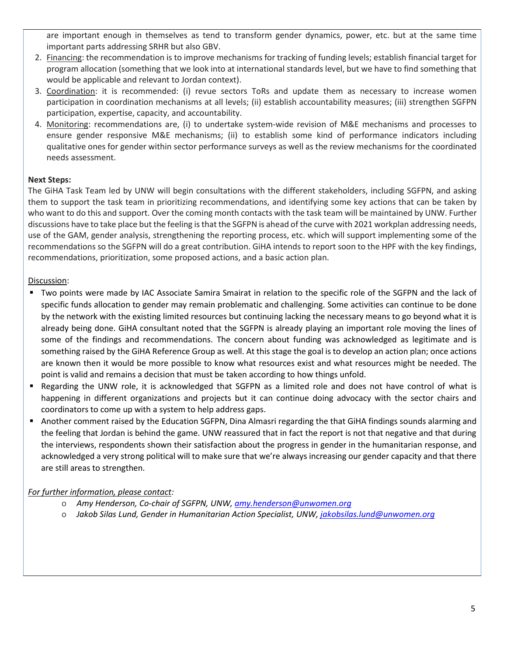are important enough in themselves as tend to transform gender dynamics, power, etc. but at the same time important parts addressing SRHR but also GBV.

- 2. Financing: the recommendation is to improve mechanisms for tracking of funding levels; establish financial target for program allocation (something that we look into at international standards level, but we have to find something that would be applicable and relevant to Jordan context).
- 3. Coordination: it is recommended: (i) revue sectors ToRs and update them as necessary to increase women participation in coordination mechanisms at all levels; (ii) establish accountability measures; (iii) strengthen SGFPN participation, expertise, capacity, and accountability.
- 4. Monitoring: recommendations are, (i) to undertake system-wide revision of M&E mechanisms and processes to ensure gender responsive M&E mechanisms; (ii) to establish some kind of performance indicators including qualitative ones for gender within sector performance surveys as well as the review mechanisms for the coordinated needs assessment.

## **Next Steps:**

The GiHA Task Team led by UNW will begin consultations with the different stakeholders, including SGFPN, and asking them to support the task team in prioritizing recommendations, and identifying some key actions that can be taken by who want to do this and support. Over the coming month contacts with the task team will be maintained by UNW. Further discussions have to take place but the feeling isthat the SGFPN is ahead of the curve with 2021 workplan addressing needs, use of the GAM, gender analysis, strengthening the reporting process, etc. which will support implementing some of the recommendations so the SGFPN will do a great contribution. GiHA intends to report soon to the HPF with the key findings, recommendations, prioritization, some proposed actions, and a basic action plan.

# Discussion:

- Two points were made by IAC Associate Samira Smairat in relation to the specific role of the SGFPN and the lack of specific funds allocation to gender may remain problematic and challenging. Some activities can continue to be done by the network with the existing limited resources but continuing lacking the necessary means to go beyond what it is already being done. GiHA consultant noted that the SGFPN is already playing an important role moving the lines of some of the findings and recommendations. The concern about funding was acknowledged as legitimate and is something raised by the GiHA Reference Group as well. At this stage the goal is to develop an action plan; once actions are known then it would be more possible to know what resources exist and what resources might be needed. The point is valid and remains a decision that must be taken according to how things unfold.
- Regarding the UNW role, it is acknowledged that SGFPN as a limited role and does not have control of what is happening in different organizations and projects but it can continue doing advocacy with the sector chairs and coordinators to come up with a system to help address gaps.
- Another comment raised by the Education SGFPN, Dina Almasri regarding the that GiHA findings sounds alarming and the feeling that Jordan is behind the game. UNW reassured that in fact the report is not that negative and that during the interviews, respondents shown their satisfaction about the progress in gender in the humanitarian response, and acknowledged a very strong political will to make sure that we're always increasing our gender capacity and that there are still areas to strengthen.

# *For further information, please contact:*

- o *Amy Henderson, Co-chair of SGFPN, UNW, [amy.henderson@unwomen.org](mailto:amy.henderson@unwomen.org)*
- o *Jakob Silas Lund, Gender in Humanitarian Action Specialist, UNW, [jakobsilas.lund@unwomen.org](mailto:jakobsilas.lund@unwomen.org)*